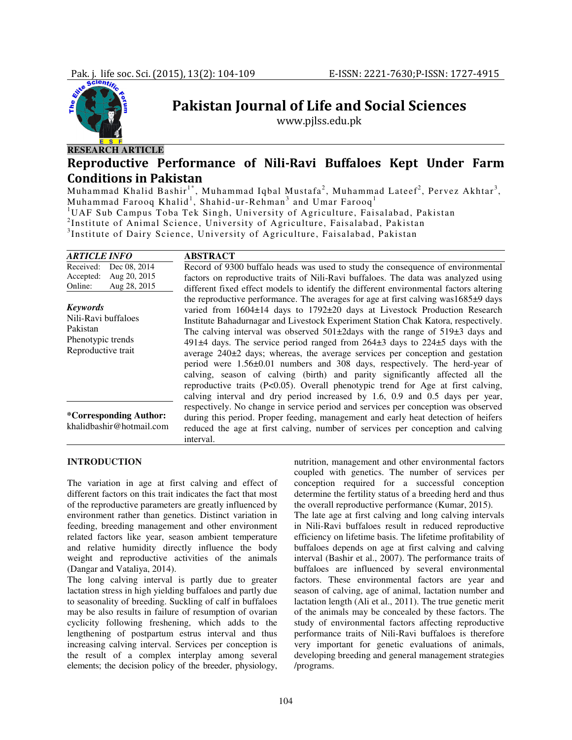

# Pakistan Journal of Life and Social Sciences

www.pjlss.edu.pk

# Reproductive Performance of Nili-Ravi Buffaloes Kept Under Farm Conditions in Pakistan

Muhammad Khalid Bashir $^{\text{1*}}$ , Muhammad Iqbal Mustafa<sup>2</sup>, Muhammad Lateef<sup>2</sup>, Pervez Akhtar<sup>3</sup>, Muhammad Farooq Khalid<sup>1</sup>, Shahid-ur-Rehman<sup>3</sup> and Umar Farooq<sup>1</sup> <sup>1</sup>UAF Sub Campus Toba Tek Singh, University of Agriculture, Faisalabad, Pakistan <sup>2</sup>Institute of Animal Science, University of Agriculture, Faisalabad, Pakistan 3 Institute of Dairy Science, University of Agriculture, Faisalabad, Pakistan

| <b>ARTICLE INFO</b>                                                                           | <b>ABSTRACT</b>                                                                                                                                                                                                                                                                                                                                                                                                                                                                                                                                                                                                                                                                                                                                                                                                                                                                                                                                                                 |
|-----------------------------------------------------------------------------------------------|---------------------------------------------------------------------------------------------------------------------------------------------------------------------------------------------------------------------------------------------------------------------------------------------------------------------------------------------------------------------------------------------------------------------------------------------------------------------------------------------------------------------------------------------------------------------------------------------------------------------------------------------------------------------------------------------------------------------------------------------------------------------------------------------------------------------------------------------------------------------------------------------------------------------------------------------------------------------------------|
| Dec 08, 2014<br>Received:<br>Aug 20, 2015<br>Accepted:<br>Aug 28, 2015<br>Online:             | Record of 9300 buffalo heads was used to study the consequence of environmental<br>factors on reproductive traits of Nili-Ravi buffaloes. The data was analyzed using                                                                                                                                                                                                                                                                                                                                                                                                                                                                                                                                                                                                                                                                                                                                                                                                           |
| <b>Keywords</b><br>Nili-Ravi buffaloes<br>Pakistan<br>Phenotypic trends<br>Reproductive trait | different fixed effect models to identify the different environmental factors altering<br>the reproductive performance. The averages for age at first calving was $1685\pm9$ days<br>varied from $1604\pm14$ days to $1792\pm20$ days at Livestock Production Research<br>Institute Bahadurnagar and Livestock Experiment Station Chak Katora, respectively.<br>The calving interval was observed $501\pm2$ days with the range of $519\pm3$ days and<br>491 $\pm$ 4 days. The service period ranged from 264 $\pm$ 3 days to 224 $\pm$ 5 days with the<br>average $240\pm2$ days; whereas, the average services per conception and gestation<br>period were 1.56±0.01 numbers and 308 days, respectively. The herd-year of<br>calving, season of calving (birth) and parity significantly affected all the<br>reproductive traits (P<0.05). Overall phenotypic trend for Age at first calving,<br>calving interval and dry period increased by 1.6, 0.9 and 0.5 days per year, |
| <i>*Corresponding Author:</i><br>khalidbashir@hotmail.com                                     | respectively. No change in service period and services per conception was observed<br>during this period. Proper feeding, management and early heat detection of heifers<br>reduced the age at first calving, number of services per conception and calving<br>interval.                                                                                                                                                                                                                                                                                                                                                                                                                                                                                                                                                                                                                                                                                                        |

## **INTRODUCTION**

The variation in age at first calving and effect of different factors on this trait indicates the fact that most of the reproductive parameters are greatly influenced by environment rather than genetics. Distinct variation in feeding, breeding management and other environment related factors like year, season ambient temperature and relative humidity directly influence the body weight and reproductive activities of the animals (Dangar and Vataliya, 2014).

The long calving interval is partly due to greater lactation stress in high yielding buffaloes and partly due to seasonality of breeding. Suckling of calf in buffaloes may be also results in failure of resumption of ovarian cyclicity following freshening, which adds to the lengthening of postpartum estrus interval and thus increasing calving interval. Services per conception is the result of a complex interplay among several elements; the decision policy of the breeder, physiology,

nutrition, management and other environmental factors coupled with genetics. The number of services per conception required for a successful conception determine the fertility status of a breeding herd and thus the overall reproductive performance (Kumar, 2015).

The late age at first calving and long calving intervals in Nili-Ravi buffaloes result in reduced reproductive efficiency on lifetime basis. The lifetime profitability of buffaloes depends on age at first calving and calving interval (Bashir et al., 2007). The performance traits of buffaloes are influenced by several environmental factors. These environmental factors are year and season of calving, age of animal, lactation number and lactation length (Ali et al., 2011). The true genetic merit of the animals may be concealed by these factors. The study of environmental factors affecting reproductive performance traits of Nili-Ravi buffaloes is therefore very important for genetic evaluations of animals, developing breeding and general management strategies /programs.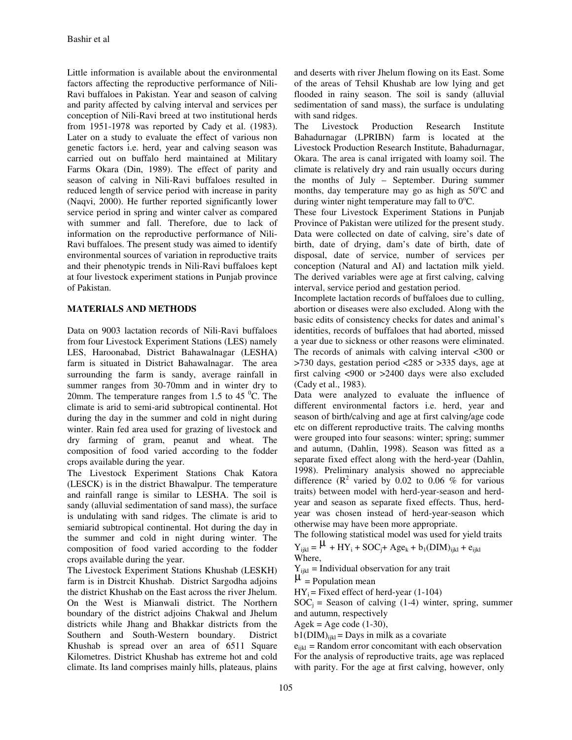Little information is available about the environmental factors affecting the reproductive performance of Nili-Ravi buffaloes in Pakistan. Year and season of calving and parity affected by calving interval and services per conception of Nili-Ravi breed at two institutional herds from 1951-1978 was reported by Cady et al. (1983). Later on a study to evaluate the effect of various non genetic factors i.e. herd, year and calving season was carried out on buffalo herd maintained at Military Farms Okara (Din, 1989). The effect of parity and season of calving in Nili-Ravi buffaloes resulted in reduced length of service period with increase in parity (Naqvi, 2000). He further reported significantly lower service period in spring and winter calver as compared with summer and fall. Therefore, due to lack of information on the reproductive performance of Nili-Ravi buffaloes. The present study was aimed to identify environmental sources of variation in reproductive traits and their phenotypic trends in Nili-Ravi buffaloes kept at four livestock experiment stations in Punjab province of Pakistan.

## **MATERIALS AND METHODS**

Data on 9003 lactation records of Nili-Ravi buffaloes from four Livestock Experiment Stations (LES) namely LES, Haroonabad, District Bahawalnagar (LESHA) farm is situated in District Bahawalnagar. The area surrounding the farm is sandy, average rainfall in summer ranges from 30-70mm and in winter dry to 20mm. The temperature ranges from 1.5 to 45 $^{0}$ C. The climate is arid to semi-arid subtropical continental. Hot during the day in the summer and cold in night during winter. Rain fed area used for grazing of livestock and dry farming of gram, peanut and wheat. The composition of food varied according to the fodder crops available during the year.

The Livestock Experiment Stations Chak Katora (LESCK) is in the district Bhawalpur. The temperature and rainfall range is similar to LESHA. The soil is sandy (alluvial sedimentation of sand mass), the surface is undulating with sand ridges. The climate is arid to semiarid subtropical continental. Hot during the day in the summer and cold in night during winter. The composition of food varied according to the fodder crops available during the year.

The Livestock Experiment Stations Khushab (LESKH) farm is in Distrcit Khushab. District Sargodha adjoins the district Khushab on the East across the river Jhelum. On the West is Mianwali district. The Northern boundary of the district adjoins Chakwal and Jhelum districts while Jhang and Bhakkar districts from the Southern and South-Western boundary. District Khushab is spread over an area of 6511 Square Kilometres. District Khushab has extreme hot and cold climate. Its land comprises mainly hills, plateaus, plains and deserts with river Jhelum flowing on its East. Some of the areas of Tehsil Khushab are low lying and get flooded in rainy season. The soil is sandy (alluvial sedimentation of sand mass), the surface is undulating with sand ridges.

The Livestock Production Research Institute Bahadurnagar (LPRIBN) farm is located at the Livestock Production Research Institute, Bahadurnagar, Okara. The area is canal irrigated with loamy soil. The climate is relatively dry and rain usually occurs during the months of July – September. During summer months, day temperature may go as high as  $50^{\circ}$ C and during winter night temperature may fall to  $0^{\circ}C$ .

These four Livestock Experiment Stations in Punjab Province of Pakistan were utilized for the present study. Data were collected on date of calving, sire's date of birth, date of drying, dam's date of birth, date of disposal, date of service, number of services per conception (Natural and AI) and lactation milk yield. The derived variables were age at first calving, calving interval, service period and gestation period.

Incomplete lactation records of buffaloes due to culling, abortion or diseases were also excluded. Along with the basic edits of consistency checks for dates and animal's identities, records of buffaloes that had aborted, missed a year due to sickness or other reasons were eliminated. The records of animals with calving interval <300 or >730 days, gestation period <285 or >335 days, age at first calving <900 or >2400 days were also excluded (Cady et al., 1983).

Data were analyzed to evaluate the influence of different environmental factors i.e. herd, year and season of birth/calving and age at first calving/age code etc on different reproductive traits. The calving months were grouped into four seasons: winter; spring; summer and autumn, (Dahlin, 1998). Season was fitted as a separate fixed effect along with the herd-year (Dahlin, 1998). Preliminary analysis showed no appreciable difference  $(R^2$  varied by 0.02 to 0.06 % for various traits) between model with herd-year-season and herdyear and season as separate fixed effects. Thus, herdyear was chosen instead of herd-year-season which otherwise may have been more appropriate.

The following statistical model was used for yield traits

 $Y_{ijkl} = \mu + HY_i + SOC_j + Age_k + b_1(DIM)_{ijkl} + e_{ijkl}$ Where,

 $Y_{ijkl}$  = Individual observation for any trait

 $\mu$  = Population mean

 $HY_i = Fixed effect of herd-year (1-104)$ 

 $SOC<sub>i</sub>$  = Season of calving (1-4) winter, spring, summer and autumn, respectively

 $Agek = Age code (1-30),$ 

 $b1(DIM)_{ijkl} =$  Days in milk as a covariate

 $e_{ijkl}$  = Random error concomitant with each observation For the analysis of reproductive traits, age was replaced with parity. For the age at first calving, however, only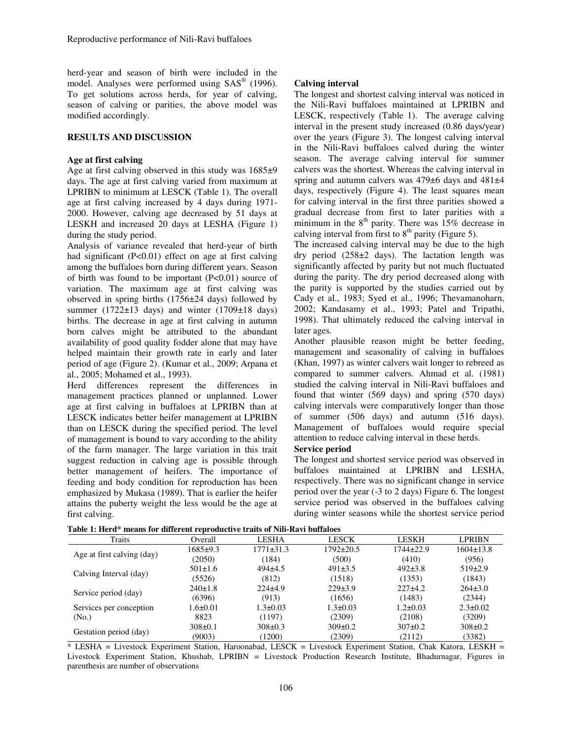herd-year and season of birth were included in the model. Analyses were performed using SAS<sup>®</sup> (1996). To get solutions across herds, for year of calving, season of calving or parities, the above model was modified accordingly.

## **RESULTS AND DISCUSSION**

#### **Age at first calving**

Age at first calving observed in this study was 1685±9 days. The age at first calving varied from maximum at LPRIBN to minimum at LESCK (Table 1). The overall age at first calving increased by 4 days during 1971- 2000. However, calving age decreased by 51 days at LESKH and increased 20 days at LESHA (Figure 1) during the study period.

Analysis of variance revealed that herd-year of birth had significant (P<0.01) effect on age at first calving among the buffaloes born during different years. Season of birth was found to be important (P<0.01) source of variation. The maximum age at first calving was observed in spring births (1756±24 days) followed by summer (1722 $\pm$ 13 days) and winter (1709 $\pm$ 18 days) births. The decrease in age at first calving in autumn born calves might be attributed to the abundant availability of good quality fodder alone that may have helped maintain their growth rate in early and later period of age (Figure 2). (Kumar et al., 2009; Arpana et al., 2005; Mohamed et al., 1993).

Herd differences represent the differences in management practices planned or unplanned. Lower age at first calving in buffaloes at LPRIBN than at LESCK indicates better heifer management at LPRIBN than on LESCK during the specified period. The level of management is bound to vary according to the ability of the farm manager. The large variation in this trait suggest reduction in calving age is possible through better management of heifers. The importance of feeding and body condition for reproduction has been emphasized by Mukasa (1989). That is earlier the heifer attains the puberty weight the less would be the age at first calving.

### **Calving interval**

The longest and shortest calving interval was noticed in the Nili-Ravi buffaloes maintained at LPRIBN and LESCK, respectively (Table 1). The average calving interval in the present study increased (0.86 days/year) over the years (Figure 3). The longest calving interval in the Nili-Ravi buffaloes calved during the winter season. The average calving interval for summer calvers was the shortest. Whereas the calving interval in spring and autumn calvers was 479±6 days and 481±4 days, respectively (Figure 4). The least squares mean for calving interval in the first three parities showed a gradual decrease from first to later parities with a minimum in the  $8<sup>th</sup>$  parity. There was 15% decrease in calving interval from first to  $8<sup>th</sup>$  parity (Figure 5).

The increased calving interval may be due to the high dry period (258±2 days). The lactation length was significantly affected by parity but not much fluctuated during the parity. The dry period decreased along with the parity is supported by the studies carried out by Cady et al., 1983; Syed et al., 1996; Thevamanoharn, 2002; Kandasamy et al., 1993; Patel and Tripathi, 1998). That ultimately reduced the calving interval in later ages.

Another plausible reason might be better feeding, management and seasonality of calving in buffaloes (Khan, 1997) as winter calvers wait longer to rebreed as compared to summer calvers. Ahmad et al. (1981) studied the calving interval in Nili-Ravi buffaloes and found that winter (569 days) and spring (570 days) calving intervals were comparatively longer than those of summer (506 days) and autumn (516 days). Management of buffaloes would require special attention to reduce calving interval in these herds.

### **Service period**

The longest and shortest service period was observed in buffaloes maintained at LPRIBN and LESHA, respectively. There was no significant change in service period over the year (-3 to 2 days) Figure 6. The longest service period was observed in the buffaloes calving during winter seasons while the shortest service period

|  |  | Table 1: Herd* means for different reproductive traits of Nili-Ravi buffaloes |  |  |
|--|--|-------------------------------------------------------------------------------|--|--|
|  |  |                                                                               |  |  |

| Traits                     | Overall        | LESHA           | <b>LESCK</b>   | <b>LESKH</b>   | <b>LPRIBN</b>   |
|----------------------------|----------------|-----------------|----------------|----------------|-----------------|
| Age at first calving (day) | $1685+9.3$     | $1771 \pm 31.3$ | 1792±20.5      | 1744±22.9      | $1604 \pm 13.8$ |
|                            | (2050)         | (184)           | (500)          | (410)          | (956)           |
| Calving Interval (day)     | $501 \pm 1.6$  | $494\pm4.5$     | $491\pm3.5$    | $492\pm3.8$    | $519\pm2.9$     |
|                            | (5526)         | (812)           | (1518)         | (1353)         | (1843)          |
|                            | 240±1.8        | $224\pm 4.9$    | $229\pm3.9$    | $227+4.2$      | $264\pm3.0$     |
| Service period (day)       | (6396)         | (913)           | (1656)         | (1483)         | (2344)          |
| Services per conception    | $1.6 \pm 0.01$ | $1.3 \pm 0.03$  | $1.3 \pm 0.03$ | $1.2 \pm 0.03$ | $2.3 \pm 0.02$  |
| (No.)                      | 8823           | (1197)          | (2309)         | (2108)         | (3209)          |
| Gestation period (day)     | $308 \pm 0.1$  | $308 \pm 0.3$   | $309 \pm 0.2$  | $307 \pm 0.2$  | $308 \pm 0.2$   |
|                            | (9003)         | (1200)          | (2309)         | (2112)         | (3382)          |

\* LESHA = Livestock Experiment Station, Haroonabad, LESCK = Livestock Experiment Station, Chak Katora, LESKH = Livestock Experiment Station, Khushab, LPRIBN = Livestock Production Research Institute, Bhadurnagar, Figures in parenthesis are number of observations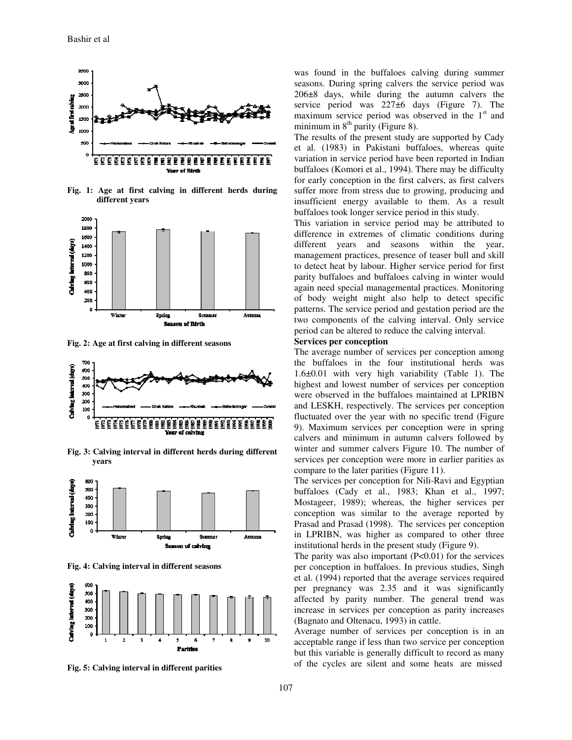

**Fig. 1: Age at first calving in different herds during different years**



**Fig. 2: Age at first calving in different seasons**



**Fig. 3: Calving interval in different herds during different years** 



**Fig. 4: Calving interval in different seasons**



**Fig. 5: Calving interval in different parities** 

was found in the buffaloes calving during summer seasons. During spring calvers the service period was 206±8 days, while during the autumn calvers the service period was 227 $\pm$ 6 days (Figure 7). The maximum service period was observed in the  $1<sup>st</sup>$  and minimum in  $8<sup>th</sup>$  parity (Figure 8).

The results of the present study are supported by Cady et al. (1983) in Pakistani buffaloes, whereas quite variation in service period have been reported in Indian buffaloes (Komori et al., 1994). There may be difficulty for early conception in the first calvers, as first calvers suffer more from stress due to growing, producing and insufficient energy available to them. As a result buffaloes took longer service period in this study.

This variation in service period may be attributed to difference in extremes of climatic conditions during different years and seasons within the year, management practices, presence of teaser bull and skill to detect heat by labour. Higher service period for first parity buffaloes and buffaloes calving in winter would again need special managemental practices. Monitoring of body weight might also help to detect specific patterns. The service period and gestation period are the two components of the calving interval. Only service period can be altered to reduce the calving interval.

#### **Services per conception**

The average number of services per conception among the buffaloes in the four institutional herds was 1.6±0.01 with very high variability (Table 1). The highest and lowest number of services per conception were observed in the buffaloes maintained at LPRIBN and LESKH, respectively. The services per conception fluctuated over the year with no specific trend (Figure 9). Maximum services per conception were in spring calvers and minimum in autumn calvers followed by winter and summer calvers Figure 10. The number of services per conception were more in earlier parities as compare to the later parities (Figure 11).

The services per conception for Nili-Ravi and Egyptian buffaloes (Cady et al., 1983; Khan et al., 1997; Mostageer, 1989); whereas, the higher services per conception was similar to the average reported by Prasad and Prasad (1998). The services per conception in LPRIBN, was higher as compared to other three institutional herds in the present study (Figure 9).

The parity was also important  $(P<0.01)$  for the services per conception in buffaloes. In previous studies, Singh et al. (1994) reported that the average services required per pregnancy was 2.35 and it was significantly affected by parity number. The general trend was increase in services per conception as parity increases (Bagnato and Oltenacu, 1993) in cattle.

Average number of services per conception is in an acceptable range if less than two service per conception but this variable is generally difficult to record as many of the cycles are silent and some heats are missed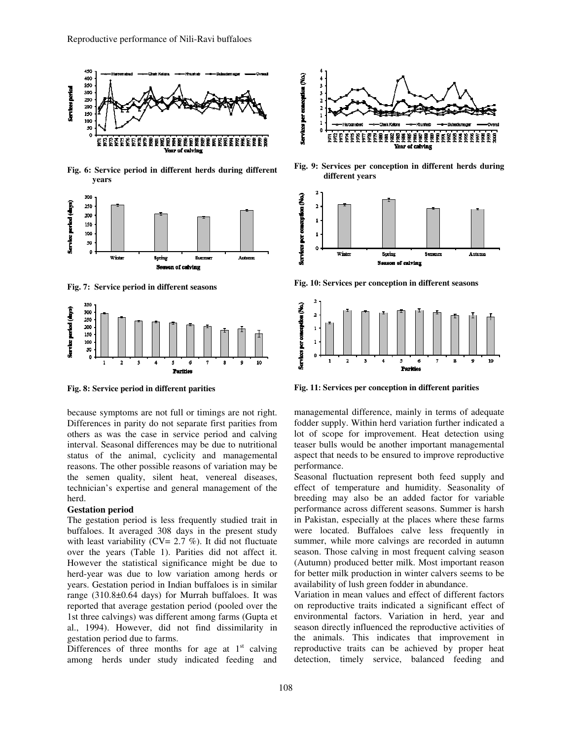

**Fig. 6: Service period in different herds during different years** 



**Fig. 7: Service period in different seasons**



**Fig. 8: Service period in different parities**

because symptoms are not full or timings are not right. Differences in parity do not separate first parities from others as was the case in service period and calving interval. Seasonal differences may be due to nutritional status of the animal, cyclicity and managemental reasons. The other possible reasons of variation may be the semen quality, silent heat, venereal diseases, technician's expertise and general management of the herd.

#### **Gestation period**

The gestation period is less frequently studied trait in buffaloes. It averaged 308 days in the present study with least variability ( $CV = 2.7$  %). It did not fluctuate over the years (Table 1). Parities did not affect it. However the statistical significance might be due to herd-year was due to low variation among herds or years. Gestation period in Indian buffaloes is in similar range (310.8±0.64 days) for Murrah buffaloes. It was reported that average gestation period (pooled over the 1st three calvings) was different among farms (Gupta et al., 1994). However, did not find dissimilarity in gestation period due to farms.

Differences of three months for age at  $1<sup>st</sup>$  calving among herds under study indicated feeding and



**Fig. 9: Services per conception in different herds during different years** 



**Fig. 10**: **Services per conception in different seasons**



**Fig. 11**: **Services per conception in different parities** 

managemental difference, mainly in terms of adequate fodder supply. Within herd variation further indicated a lot of scope for improvement. Heat detection using teaser bulls would be another important managemental aspect that needs to be ensured to improve reproductive performance.

Seasonal fluctuation represent both feed supply and effect of temperature and humidity. Seasonality of breeding may also be an added factor for variable performance across different seasons. Summer is harsh in Pakistan, especially at the places where these farms were located. Buffaloes calve less frequently in summer, while more calvings are recorded in autumn season. Those calving in most frequent calving season (Autumn) produced better milk. Most important reason for better milk production in winter calvers seems to be availability of lush green fodder in abundance.

Variation in mean values and effect of different factors on reproductive traits indicated a significant effect of environmental factors. Variation in herd, year and season directly influenced the reproductive activities of the animals. This indicates that improvement in reproductive traits can be achieved by proper heat detection, timely service, balanced feeding and